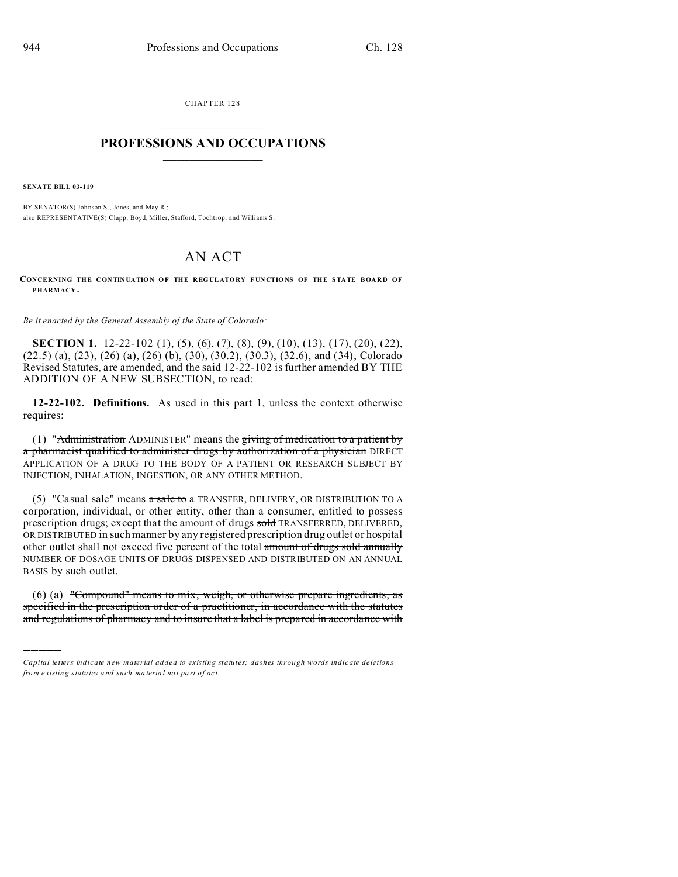CHAPTER 128  $\overline{\phantom{a}}$  , where  $\overline{\phantom{a}}$ 

## **PROFESSIONS AND OCCUPATIONS**  $\frac{1}{2}$  ,  $\frac{1}{2}$  ,  $\frac{1}{2}$  ,  $\frac{1}{2}$  ,  $\frac{1}{2}$  ,  $\frac{1}{2}$  ,  $\frac{1}{2}$

**SENATE BILL 03-119**

)))))

BY SENATOR(S) Johnson S., Jones, and May R.; also REPRESENTATIVE(S) Clapp, Boyd, Miller, Stafford, Tochtrop, and Williams S.

## AN ACT

**CONCERNING THE CONTINUATION OF THE REGULATORY FUNCTIONS OF THE STATE BOARD OF PHARMACY .**

*Be it enacted by the General Assembly of the State of Colorado:*

**SECTION 1.** 12-22-102 (1), (5), (6), (7), (8), (9), (10), (13), (17), (20), (22), (22.5) (a), (23), (26) (a), (26) (b), (30), (30.2), (30.3), (32.6), and (34), Colorado Revised Statutes, are amended, and the said 12-22-102 is further amended BY THE ADDITION OF A NEW SUBSECTION, to read:

**12-22-102. Definitions.** As used in this part 1, unless the context otherwise requires:

(1) "Administration ADMINISTER" means the giving of medication to a patient by a pharmacist qualified to administer drugs by authorization of a physician DIRECT APPLICATION OF A DRUG TO THE BODY OF A PATIENT OR RESEARCH SUBJECT BY INJECTION, INHALATION, INGESTION, OR ANY OTHER METHOD.

(5) "Casual sale" means  $\alpha$  sale to a TRANSFER, DELIVERY, OR DISTRIBUTION TO A corporation, individual, or other entity, other than a consumer, entitled to possess prescription drugs; except that the amount of drugs sold TRANSFERRED, DELIVERED, OR DISTRIBUTED in such manner by any registered prescription drug outlet or hospital other outlet shall not exceed five percent of the total amount of drugs sold annually NUMBER OF DOSAGE UNITS OF DRUGS DISPENSED AND DISTRIBUTED ON AN ANNUAL BASIS by such outlet.

(6) (a) "Compound" means to mix, weigh, or otherwise prepare ingredients, as specified in the prescription order of a practitioner, in accordance with the statutes and regulations of pharmacy and to insure that a label is prepared in accordance with

*Capital letters indicate new material added to existing statutes; dashes through words indicate deletions from e xistin g statu tes a nd such ma teria l no t pa rt of ac t.*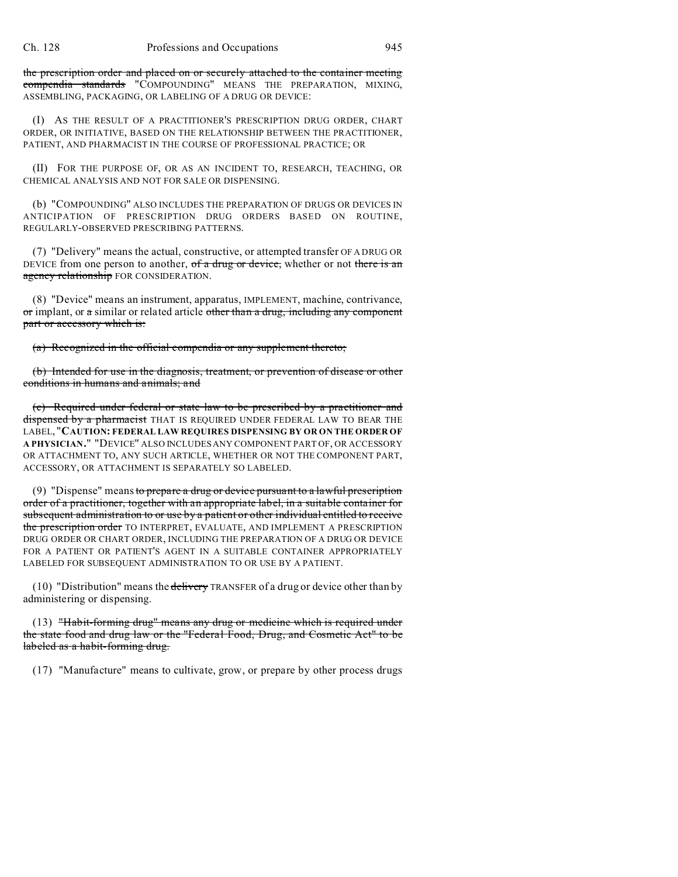the prescription order and placed on or securely attached to the container meeting compendia standards "COMPOUNDING" MEANS THE PREPARATION, MIXING, ASSEMBLING, PACKAGING, OR LABELING OF A DRUG OR DEVICE:

(I) AS THE RESULT OF A PRACTITIONER'S PRESCRIPTION DRUG ORDER, CHART ORDER, OR INITIATIVE, BASED ON THE RELATIONSHIP BETWEEN THE PRACTITIONER, PATIENT, AND PHARMACIST IN THE COURSE OF PROFESSIONAL PRACTICE; OR

(II) FOR THE PURPOSE OF, OR AS AN INCIDENT TO, RESEARCH, TEACHING, OR CHEMICAL ANALYSIS AND NOT FOR SALE OR DISPENSING.

(b) "COMPOUNDING" ALSO INCLUDES THE PREPARATION OF DRUGS OR DEVICES IN ANTICIPATION OF PRESCRIPTION DRUG ORDERS BASED ON ROUTINE, REGULARLY-OBSERVED PRESCRIBING PATTERNS.

(7) "Delivery" means the actual, constructive, or attempted transfer OF A DRUG OR DEVICE from one person to another, of a drug or device, whether or not there is an agency relationship FOR CONSIDERATION.

(8) "Device" means an instrument, apparatus, IMPLEMENT, machine, contrivance,  $\sigma$ r implant, or  $\sigma$  similar or related article other than a drug, including any component part or accessory which is:

(a) Recognized in the official compendia or any supplement thereto;

(b) Intended for use in the diagnosis, treatment, or prevention of disease or other conditions in humans and animals; and

(c) Required under federal or state law to be prescribed by a practitioner and dispensed by a pharmacist THAT IS REQUIRED UNDER FEDERAL LAW TO BEAR THE LABEL, "**CAUTION: FEDERAL LAW REQUIRES DISPENSING BY OR ON THE ORDER OF A PHYSICIAN.**" "DEVICE" ALSO INCLUDES ANY COMPONENT PART OF, OR ACCESSORY OR ATTACHMENT TO, ANY SUCH ARTICLE, WHETHER OR NOT THE COMPONENT PART, ACCESSORY, OR ATTACHMENT IS SEPARATELY SO LABELED.

(9) "Dispense" means to prepare a drug or device pursuant to a lawful prescription order of a practitioner, together with an appropriate label, in a suitable container for subsequent administration to or use by a patient or other individual entitled to receive the prescription order TO INTERPRET, EVALUATE, AND IMPLEMENT A PRESCRIPTION DRUG ORDER OR CHART ORDER, INCLUDING THE PREPARATION OF A DRUG OR DEVICE FOR A PATIENT OR PATIENT'S AGENT IN A SUITABLE CONTAINER APPROPRIATELY LABELED FOR SUBSEQUENT ADMINISTRATION TO OR USE BY A PATIENT.

(10) "Distribution" means the delivery TRANSFER of a drug or device other than by administering or dispensing.

(13) "Habit-forming drug" means any drug or medicine which is required under the state food and drug law or the "Federal Food, Drug, and Cosmetic Act" to be labeled as a habit-forming drug.

(17) "Manufacture" means to cultivate, grow, or prepare by other process drugs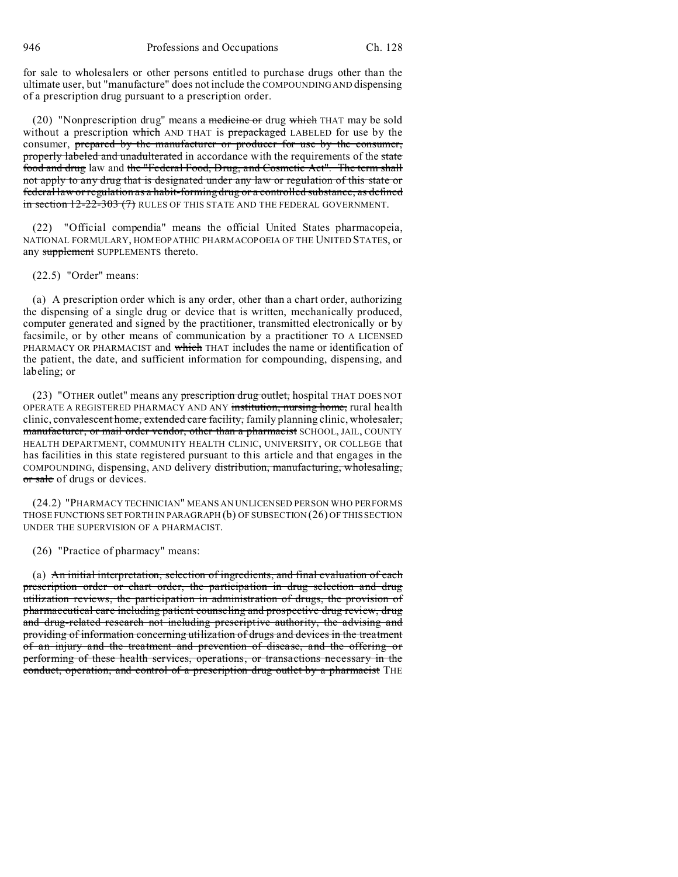for sale to wholesalers or other persons entitled to purchase drugs other than the ultimate user, but "manufacture" does not include the COMPOUNDING AND dispensing of a prescription drug pursuant to a prescription order.

(20) "Nonprescription drug" means a medicine or drug which THAT may be sold without a prescription which AND THAT is prepackaged LABELED for use by the consumer, prepared by the manufacturer or producer for use by the consumer, properly labeled and unadulterated in accordance with the requirements of the state food and drug law and the "Federal Food, Drug, and Cosmetic Act". The term shall not apply to any drug that is designated under any law or regulation of this state or federal law or regulation as a habit-forming drug or a controlled substance, as defined in section 12-22-303 (7) RULES OF THIS STATE AND THE FEDERAL GOVERNMENT.

(22) "Official compendia" means the official United States pharmacopeia, NATIONAL FORMULARY, HOMEOPATHIC PHARMACOPOEIA OF THE UNITED STATES, or any supplement SUPPLEMENTS thereto.

(22.5) "Order" means:

(a) A prescription order which is any order, other than a chart order, authorizing the dispensing of a single drug or device that is written, mechanically produced, computer generated and signed by the practitioner, transmitted electronically or by facsimile, or by other means of communication by a practitioner TO A LICENSED PHARMACY OR PHARMACIST and which THAT includes the name or identification of the patient, the date, and sufficient information for compounding, dispensing, and labeling; or

(23) "OTHER outlet" means any prescription drug outlet, hospital THAT DOES NOT OPERATE A REGISTERED PHARMACY AND ANY institution, nursing home, rural health clinic, convalescent home, extended care facility, family planning clinic, wholesaler, manufacturer, or mail order vendor, other than a pharmacist SCHOOL, JAIL, COUNTY HEALTH DEPARTMENT, COMMUNITY HEALTH CLINIC, UNIVERSITY, OR COLLEGE that has facilities in this state registered pursuant to this article and that engages in the COMPOUNDING, dispensing, AND delivery distribution, manufacturing, wholesaling, or sale of drugs or devices.

(24.2) "PHARMACY TECHNICIAN" MEANS AN UNLICENSED PERSON WHO PERFORMS THOSE FUNCTIONS SET FORTH IN PARAGRAPH (b) OF SUBSECTION (26) OF THIS SECTION UNDER THE SUPERVISION OF A PHARMACIST.

(26) "Practice of pharmacy" means:

(a) An initial interpretation, selection of ingredients, and final evaluation of each prescription order or chart order, the participation in drug selection and drug utilization reviews, the participation in administration of drugs, the provision of pharmaceutical care including patient counseling and prospective drug review, drug and drug-related research not including prescriptive authority, the advising and providing of information concerning utilization of drugs and devices in the treatment of an injury and the treatment and prevention of disease, and the offering or performing of these health services, operations, or transactions necessary in the conduct, operation, and control of a prescription drug outlet by a pharmacist THE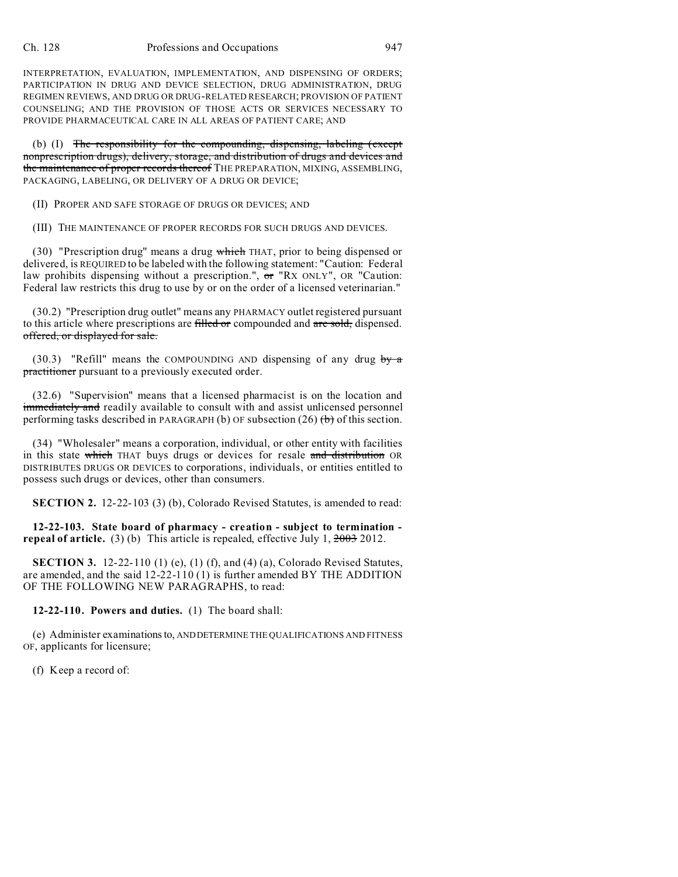INTERPRETATION, EVALUATION, IMPLEMENTATION, AND DISPENSING OF ORDERS; PARTICIPATION IN DRUG AND DEVICE SELECTION, DRUG ADMINISTRATION, DRUG REGIMEN REVIEWS, AND DRUG OR DRUG-RELATED RESEARCH; PROVISION OF PATIENT COUNSELING; AND THE PROVISION OF THOSE ACTS OR SERVICES NECESSARY TO PROVIDE PHARMACEUTICAL CARE IN ALL AREAS OF PATIENT CARE; AND

(b) (I) The responsibility for the compounding, dispensing, labeling (except nonprescription drugs), delivery, storage, and distribution of drugs and devices and the maintenance of proper records thereof THE PREPARATION, MIXING, ASSEMBLING, PACKAGING, LABELING, OR DELIVERY OF A DRUG OR DEVICE;

(II) PROPER AND SAFE STORAGE OF DRUGS OR DEVICES; AND

(III) THE MAINTENANCE OF PROPER RECORDS FOR SUCH DRUGS AND DEVICES.

(30) "Prescription drug" means a drug which THAT, prior to being dispensed or delivered, is REQUIRED to be labeled with the following statement: "Caution: Federal law prohibits dispensing without a prescription.", or "RX ONLY", OR "Caution: Federal law restricts this drug to use by or on the order of a licensed veterinarian."

(30.2) "Prescription drug outlet" means any PHARMACY outlet registered pursuant to this article where prescriptions are filled or compounded and are sold, dispensed. offered, or displayed for sale.

(30.3) "Refill" means the COMPOUNDING AND dispensing of any drug by  $\alpha$ practitioner pursuant to a previously executed order.

(32.6) "Supervision" means that a licensed pharmacist is on the location and immediately and readily available to consult with and assist unlicensed personnel performing tasks described in PARAGRAPH (b) OF subsection  $(26)$  (b) of this section.

(34) "Wholesaler" means a corporation, individual, or other entity with facilities in this state which THAT buys drugs or devices for resale and distribution OR DISTRIBUTES DRUGS OR DEVICES to corporations, individuals, or entities entitled to possess such drugs or devices, other than consumers.

**SECTION 2.** 12-22-103 (3) (b), Colorado Revised Statutes, is amended to read:

**12-22-103. State board of pharmacy - creation - subject to termination repeal of article.** (3) (b) This article is repealed, effective July 1, 2003 2012.

**SECTION 3.** 12-22-110 (1) (e), (1) (f), and (4) (a), Colorado Revised Statutes, are amended, and the said 12-22-110 (1) is further amended BY THE ADDITION OF THE FOLLOWING NEW PARAGRAPHS, to read:

## **12-22-110. Powers and duties.** (1) The board shall:

(e) Administer examinationsto, ANDDETERMINE THE QUALIFICATIONS AND FITNESS OF, applicants for licensure;

(f) Keep a record of: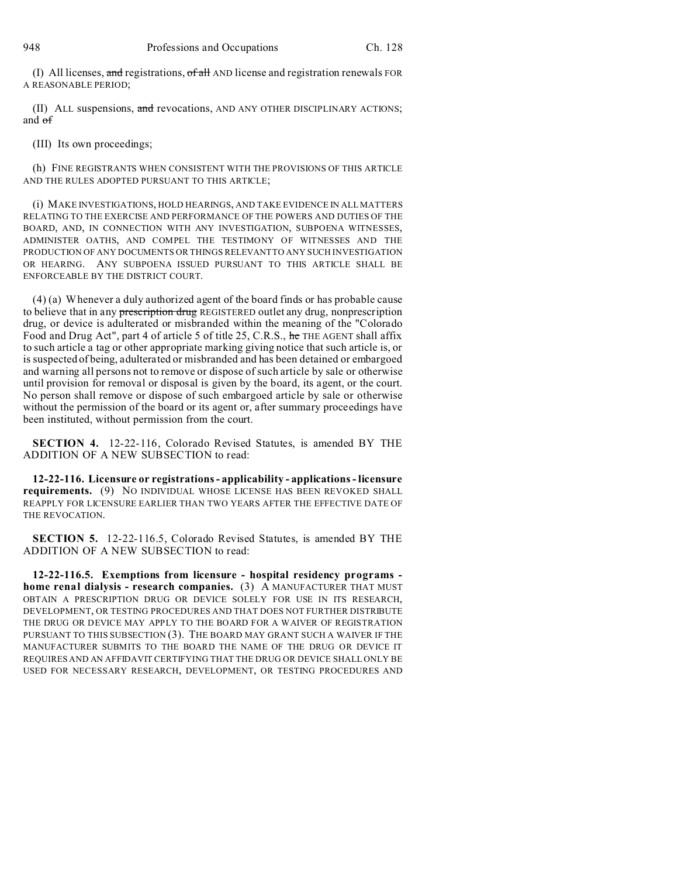(I) All licenses, and registrations,  $\sigma$ f all AND license and registration renewals FOR A REASONABLE PERIOD;

(II) ALL suspensions, and revocations, AND ANY OTHER DISCIPLINARY ACTIONS; and of

(III) Its own proceedings;

(h) FINE REGISTRANTS WHEN CONSISTENT WITH THE PROVISIONS OF THIS ARTICLE AND THE RULES ADOPTED PURSUANT TO THIS ARTICLE;

(i) MAKE INVESTIGATIONS, HOLD HEARINGS, AND TAKE EVIDENCE IN ALL MATTERS RELATING TO THE EXERCISE AND PERFORMANCE OF THE POWERS AND DUTIES OF THE BOARD, AND, IN CONNECTION WITH ANY INVESTIGATION, SUBPOENA WITNESSES, ADMINISTER OATHS, AND COMPEL THE TESTIMONY OF WITNESSES AND THE PRODUCTION OF ANY DOCUMENTS OR THINGS RELEVANT TO ANY SUCH INVESTIGATION OR HEARING. ANY SUBPOENA ISSUED PURSUANT TO THIS ARTICLE SHALL BE ENFORCEABLE BY THE DISTRICT COURT.

(4) (a) Whenever a duly authorized agent of the board finds or has probable cause to believe that in any prescription drug REGISTERED outlet any drug, nonprescription drug, or device is adulterated or misbranded within the meaning of the "Colorado Food and Drug Act", part 4 of article 5 of title 25, C.R.S., he THE AGENT shall affix to such article a tag or other appropriate marking giving notice that such article is, or is suspected of being, adulterated or misbranded and has been detained or embargoed and warning all persons not to remove or dispose of such article by sale or otherwise until provision for removal or disposal is given by the board, its agent, or the court. No person shall remove or dispose of such embargoed article by sale or otherwise without the permission of the board or its agent or, after summary proceedings have been instituted, without permission from the court.

**SECTION 4.** 12-22-116, Colorado Revised Statutes, is amended BY THE ADDITION OF A NEW SUBSECTION to read:

**12-22-116. Licensure or registrations - applicability - applications - licensure requirements.** (9) NO INDIVIDUAL WHOSE LICENSE HAS BEEN REVOKED SHALL REAPPLY FOR LICENSURE EARLIER THAN TWO YEARS AFTER THE EFFECTIVE DATE OF THE REVOCATION.

**SECTION 5.** 12-22-116.5, Colorado Revised Statutes, is amended BY THE ADDITION OF A NEW SUBSECTION to read:

**12-22-116.5. Exemptions from licensure - hospital residency programs home renal dialysis - research companies.** (3) A MANUFACTURER THAT MUST OBTAIN A PRESCRIPTION DRUG OR DEVICE SOLELY FOR USE IN ITS RESEARCH, DEVELOPMENT, OR TESTING PROCEDURES AND THAT DOES NOT FURTHER DISTRIBUTE THE DRUG OR DEVICE MAY APPLY TO THE BOARD FOR A WAIVER OF REGISTRATION PURSUANT TO THIS SUBSECTION (3). THE BOARD MAY GRANT SUCH A WAIVER IF THE MANUFACTURER SUBMITS TO THE BOARD THE NAME OF THE DRUG OR DEVICE IT REQUIRES AND AN AFFIDAVIT CERTIFYING THAT THE DRUG OR DEVICE SHALL ONLY BE USED FOR NECESSARY RESEARCH, DEVELOPMENT, OR TESTING PROCEDURES AND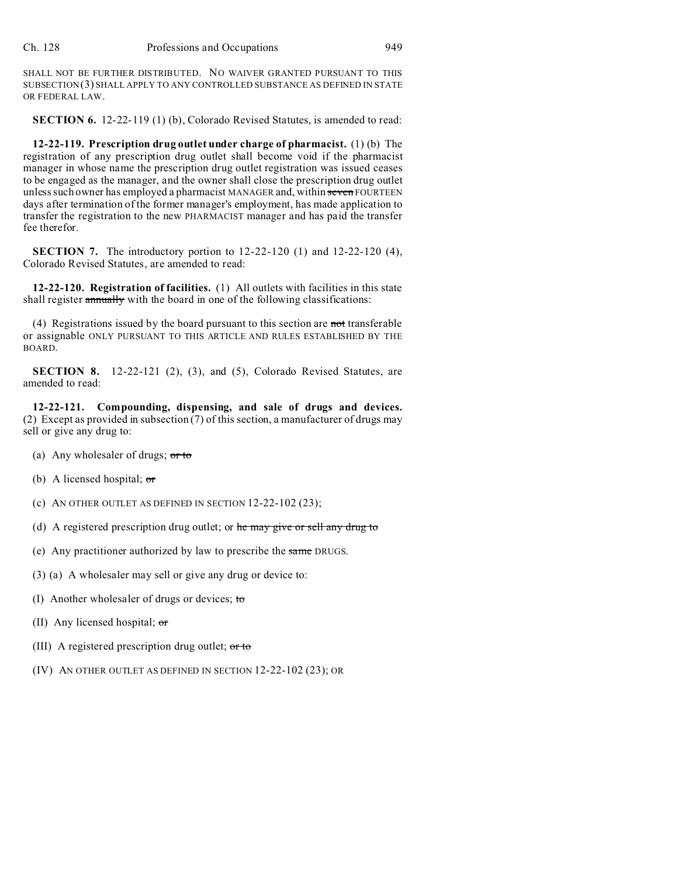SHALL NOT BE FURTHER DISTRIBUTED. NO WAIVER GRANTED PURSUANT TO THIS SUBSECTION(3) SHALL APPLY TO ANY CONTROLLED SUBSTANCE AS DEFINED IN STATE OR FEDERAL LAW.

**SECTION 6.** 12-22-119 (1) (b), Colorado Revised Statutes, is amended to read:

**12-22-119. Prescription drug outlet under charge of pharmacist.** (1) (b) The registration of any prescription drug outlet shall become void if the pharmacist manager in whose name the prescription drug outlet registration was issued ceases to be engaged as the manager, and the owner shall close the prescription drug outlet unless such owner has employed a pharmacist MANAGER and, within seven FOURTEEN days after termination of the former manager's employment, has made application to transfer the registration to the new PHARMACIST manager and has paid the transfer fee therefor.

**SECTION 7.** The introductory portion to 12-22-120 (1) and 12-22-120 (4), Colorado Revised Statutes, are amended to read:

**12-22-120. Registration of facilities.** (1) All outlets with facilities in this state shall register annually with the board in one of the following classifications:

(4) Registrations issued by the board pursuant to this section are not transferable or assignable ONLY PURSUANT TO THIS ARTICLE AND RULES ESTABLISHED BY THE BOARD.

**SECTION 8.** 12-22-121 (2), (3), and (5), Colorado Revised Statutes, are amended to read:

**12-22-121. Compounding, dispensing, and sale of drugs and devices.** (2) Except as provided in subsection  $(7)$  of this section, a manufacturer of drugs may sell or give any drug to:

- (a) Any wholesaler of drugs; or to
- (b) A licensed hospital;  $\sigma$
- (c) AN OTHER OUTLET AS DEFINED IN SECTION 12-22-102 (23);
- (d) A registered prescription drug outlet; or  $he$  may give or sell any drug to
- (e) Any practitioner authorized by law to prescribe the same DRUGS.
- (3) (a) A wholesaler may sell or give any drug or device to:
- (I) Another wholesaler of drugs or devices; to
- (II) Any licensed hospital; or
- (III) A registered prescription drug outlet;  $\sigma$  to
- (IV) AN OTHER OUTLET AS DEFINED IN SECTION 12-22-102 (23); OR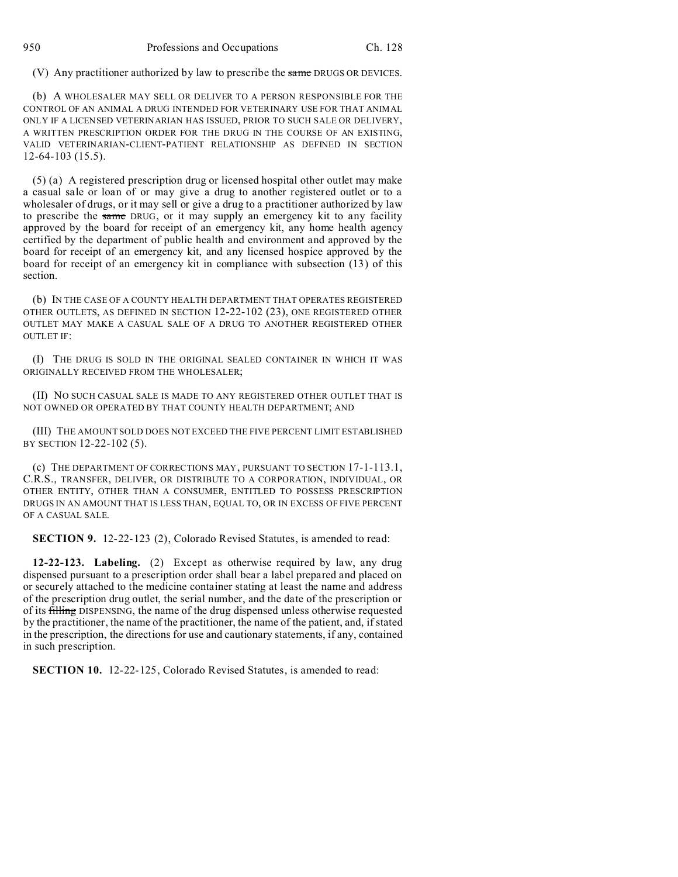(V) Any practitioner authorized by law to prescribe the same DRUGS OR DEVICES.

(b) A WHOLESALER MAY SELL OR DELIVER TO A PERSON RESPONSIBLE FOR THE CONTROL OF AN ANIMAL A DRUG INTENDED FOR VETERINARY USE FOR THAT ANIMAL ONLY IF A LICENSED VETERINARIAN HAS ISSUED, PRIOR TO SUCH SALE OR DELIVERY, A WRITTEN PRESCRIPTION ORDER FOR THE DRUG IN THE COURSE OF AN EXISTING, VALID VETERINARIAN-CLIENT-PATIENT RELATIONSHIP AS DEFINED IN SECTION 12-64-103 (15.5).

(5) (a) A registered prescription drug or licensed hospital other outlet may make a casual sale or loan of or may give a drug to another registered outlet or to a wholesaler of drugs, or it may sell or give a drug to a practitioner authorized by law to prescribe the same DRUG, or it may supply an emergency kit to any facility approved by the board for receipt of an emergency kit, any home health agency certified by the department of public health and environment and approved by the board for receipt of an emergency kit, and any licensed hospice approved by the board for receipt of an emergency kit in compliance with subsection (13) of this section.

(b) IN THE CASE OF A COUNTY HEALTH DEPARTMENT THAT OPERATES REGISTERED OTHER OUTLETS, AS DEFINED IN SECTION 12-22-102 (23), ONE REGISTERED OTHER OUTLET MAY MAKE A CASUAL SALE OF A DRUG TO ANOTHER REGISTERED OTHER OUTLET IF:

(I) THE DRUG IS SOLD IN THE ORIGINAL SEALED CONTAINER IN WHICH IT WAS ORIGINALLY RECEIVED FROM THE WHOLESALER;

(II) NO SUCH CASUAL SALE IS MADE TO ANY REGISTERED OTHER OUTLET THAT IS NOT OWNED OR OPERATED BY THAT COUNTY HEALTH DEPARTMENT; AND

(III) THE AMOUNT SOLD DOES NOT EXCEED THE FIVE PERCENT LIMIT ESTABLISHED BY SECTION 12-22-102 (5).

(c) THE DEPARTMENT OF CORRECTIONS MAY, PURSUANT TO SECTION 17-1-113.1, C.R.S., TRANSFER, DELIVER, OR DISTRIBUTE TO A CORPORATION, INDIVIDUAL, OR OTHER ENTITY, OTHER THAN A CONSUMER, ENTITLED TO POSSESS PRESCRIPTION DRUGS IN AN AMOUNT THAT IS LESS THAN, EQUAL TO, OR IN EXCESS OF FIVE PERCENT OF A CASUAL SALE.

**SECTION 9.** 12-22-123 (2), Colorado Revised Statutes, is amended to read:

**12-22-123. Labeling.** (2) Except as otherwise required by law, any drug dispensed pursuant to a prescription order shall bear a label prepared and placed on or securely attached to the medicine container stating at least the name and address of the prescription drug outlet, the serial number, and the date of the prescription or of its filling DISPENSING, the name of the drug dispensed unless otherwise requested by the practitioner, the name of the practitioner, the name of the patient, and, if stated in the prescription, the directions for use and cautionary statements, if any, contained in such prescription.

**SECTION 10.** 12-22-125, Colorado Revised Statutes, is amended to read: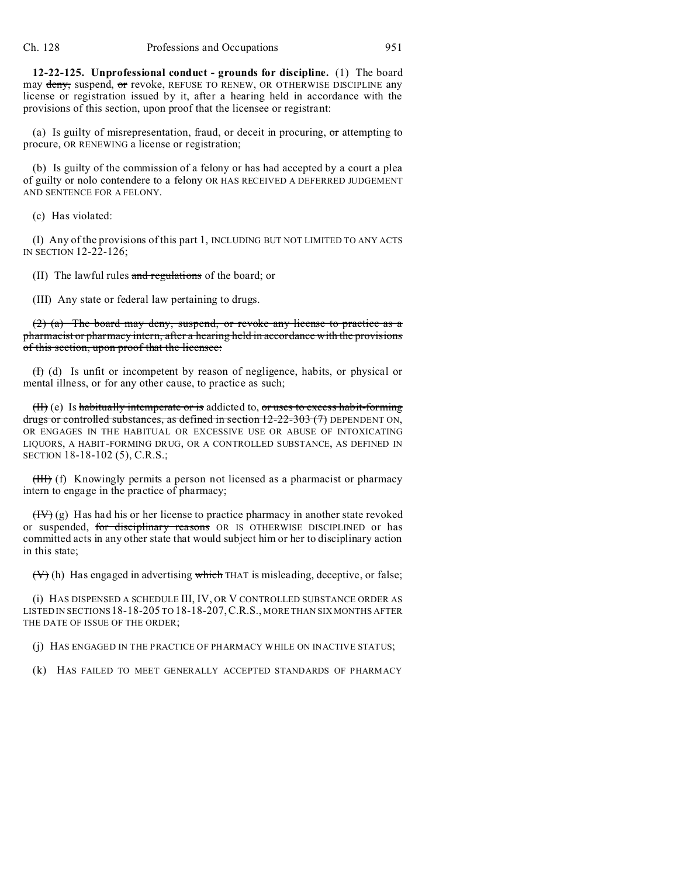**12-22-125. Unprofessional conduct - grounds for discipline.** (1) The board may deny, suspend, or revoke, REFUSE TO RENEW, OR OTHERWISE DISCIPLINE any license or registration issued by it, after a hearing held in accordance with the provisions of this section, upon proof that the licensee or registrant:

(a) Is guilty of misrepresentation, fraud, or deceit in procuring,  $\sigma$  attempting to procure, OR RENEWING a license or registration;

(b) Is guilty of the commission of a felony or has had accepted by a court a plea of guilty or nolo contendere to a felony OR HAS RECEIVED A DEFERRED JUDGEMENT AND SENTENCE FOR A FELONY.

(c) Has violated:

(I) Any of the provisions of this part 1, INCLUDING BUT NOT LIMITED TO ANY ACTS IN SECTION 12-22-126;

(II) The lawful rules and regulations of the board; or

(III) Any state or federal law pertaining to drugs.

(2) (a) The board may deny, suspend, or revoke any license to practice as a pharmacist or pharmacy intern, after a hearing held in accordance with the provisions of this section, upon proof that the licensee:

(I) (d) Is unfit or incompetent by reason of negligence, habits, or physical or mental illness, or for any other cause, to practice as such;

 $(H)$  (e) Is habitually intemperate or is addicted to, or uses to excess habit-forming drugs or controlled substances, as defined in section  $12-22-303$  (7) DEPENDENT ON, OR ENGAGES IN THE HABITUAL OR EXCESSIVE USE OR ABUSE OF INTOXICATING LIQUORS, A HABIT-FORMING DRUG, OR A CONTROLLED SUBSTANCE, AS DEFINED IN SECTION 18-18-102 (5), C.R.S.;

(III) (f) Knowingly permits a person not licensed as a pharmacist or pharmacy intern to engage in the practice of pharmacy;

 $(HV)(g)$  Has had his or her license to practice pharmacy in another state revoked or suspended, for disciplinary reasons OR IS OTHERWISE DISCIPLINED or has committed acts in any other state that would subject him or her to disciplinary action in this state;

(V) (h) Has engaged in advertising which THAT is misleading, deceptive, or false;

(i) HAS DISPENSED A SCHEDULE III, IV, OR V CONTROLLED SUBSTANCE ORDER AS LISTED IN SECTIONS 18-18-205 TO 18-18-207,C.R.S., MORE THAN SIX MONTHS AFTER THE DATE OF ISSUE OF THE ORDER;

(j) HAS ENGAGED IN THE PRACTICE OF PHARMACY WHILE ON INACTIVE STATUS;

(k) HAS FAILED TO MEET GENERALLY ACCEPTED STANDARDS OF PHARMACY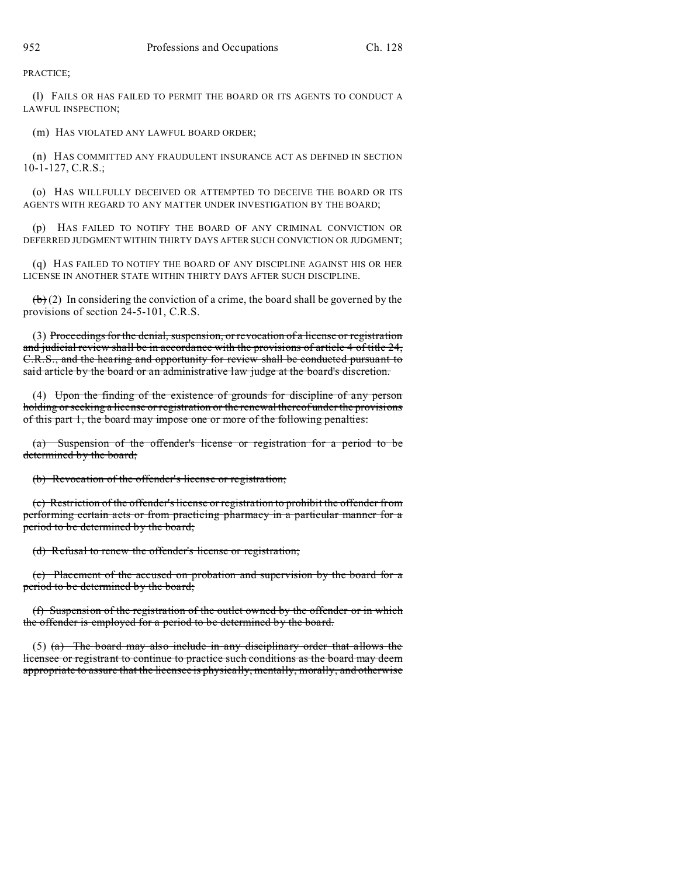PRACTICE;

(l) FAILS OR HAS FAILED TO PERMIT THE BOARD OR ITS AGENTS TO CONDUCT A LAWFUL INSPECTION;

(m) HAS VIOLATED ANY LAWFUL BOARD ORDER;

(n) HAS COMMITTED ANY FRAUDULENT INSURANCE ACT AS DEFINED IN SECTION 10-1-127, C.R.S.;

(o) HAS WILLFULLY DECEIVED OR ATTEMPTED TO DECEIVE THE BOARD OR ITS AGENTS WITH REGARD TO ANY MATTER UNDER INVESTIGATION BY THE BOARD;

(p) HAS FAILED TO NOTIFY THE BOARD OF ANY CRIMINAL CONVICTION OR DEFERRED JUDGMENT WITHIN THIRTY DAYS AFTER SUCH CONVICTION OR JUDGMENT;

(q) HAS FAILED TO NOTIFY THE BOARD OF ANY DISCIPLINE AGAINST HIS OR HER LICENSE IN ANOTHER STATE WITHIN THIRTY DAYS AFTER SUCH DISCIPLINE.

 $\left(\frac{b}{b}\right)$  (2) In considering the conviction of a crime, the board shall be governed by the provisions of section 24-5-101, C.R.S.

(3) Proceedings for the denial, suspension, or revocation of a license or registration and judicial review shall be in accordance with the provisions of article 4 of title 24, C.R.S., and the hearing and opportunity for review shall be conducted pursuant to said article by the board or an administrative law judge at the board's discretion.

(4) Upon the finding of the existence of grounds for discipline of any person holding or seeking a license or registration or the renewal thereof under the provisions of this part 1, the board may impose one or more of the following penalties:

(a) Suspension of the offender's license or registration for a period to be determined by the board;

(b) Revocation of the offender's license or registration;

(c) Restriction of the offender's license or registration to prohibit the offender from performing certain acts or from practicing pharmacy in a particular manner for a period to be determined by the board;

(d) Refusal to renew the offender's license or registration;

(e) Placement of the accused on probation and supervision by the board for a period to be determined by the board;

(f) Suspension of the registration of the outlet owned by the offender or in which the offender is employed for a period to be determined by the board.

(5)  $(a)$  The board may also include in any disciplinary order that allows the licensee or registrant to continue to practice such conditions as the board may deem appropriate to assure that the licensee is physically, mentally, morally, and otherwise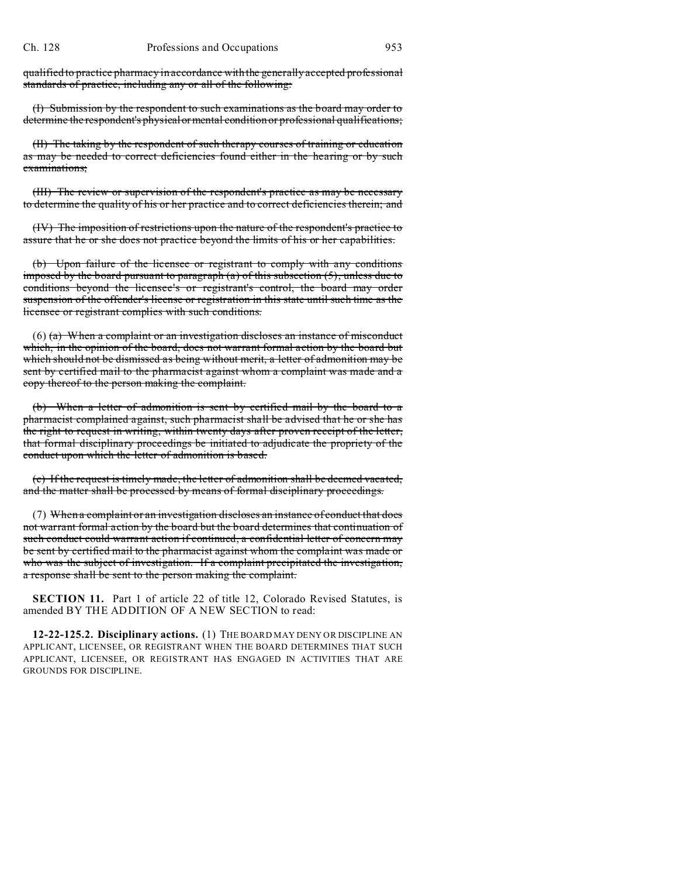qualified to practice pharmacy in accordance with the generally accepted professional standards of practice, including any or all of the following:

(I) Submission by the respondent to such examinations as the board may order to determine the respondent's physical or mental condition or professional qualifications;

(II) The taking by the respondent of such therapy courses of training or education as may be needed to correct deficiencies found either in the hearing or by such examinations;

(III) The review or supervision of the respondent's practice as may be necessary to determine the quality of his or her practice and to correct deficiencies therein; and

(IV) The imposition of restrictions upon the nature of the respondent's practice to assure that he or she does not practice beyond the limits of his or her capabilities.

(b) Upon failure of the licensee or registrant to comply with any conditions imposed by the board pursuant to paragraph (a) of this subsection (5), unless due to conditions beyond the licensee's or registrant's control, the board may order suspension of the offender's license or registration in this state until such time as the licensee or registrant complies with such conditions.

(6) (a) When a complaint or an investigation discloses an instance of misconduct which, in the opinion of the board, does not warrant formal action by the board but which should not be dismissed as being without merit, a letter of admonition may be sent by certified mail to the pharmacist against whom a complaint was made and a copy thereof to the person making the complaint.

(b) When a letter of admonition is sent by certified mail by the board to a pharmacist complained against, such pharmacist shall be advised that he or she has the right to request in writing, within twenty days after proven receipt of the letter, that formal disciplinary proceedings be initiated to adjudicate the propriety of the conduct upon which the letter of admonition is based.

(c) If the request is timely made, the letter of admonition shall be deemed vacated, and the matter shall be processed by means of formal disciplinary proceedings.

(7) When a complaint or an investigation discloses an instance of conduct that does not warrant formal action by the board but the board determines that continuation of such conduct could warrant action if continued, a confidential letter of concern may be sent by certified mail to the pharmacist against whom the complaint was made or who was the subject of investigation. If a complaint precipitated the investigation, a response shall be sent to the person making the complaint.

**SECTION 11.** Part 1 of article 22 of title 12, Colorado Revised Statutes, is amended BY THE ADDITION OF A NEW SECTION to read:

**12-22-125.2. Disciplinary actions.** (1) THE BOARD MAY DENY OR DISCIPLINE AN APPLICANT, LICENSEE, OR REGISTRANT WHEN THE BOARD DETERMINES THAT SUCH APPLICANT, LICENSEE, OR REGISTRANT HAS ENGAGED IN ACTIVITIES THAT ARE GROUNDS FOR DISCIPLINE.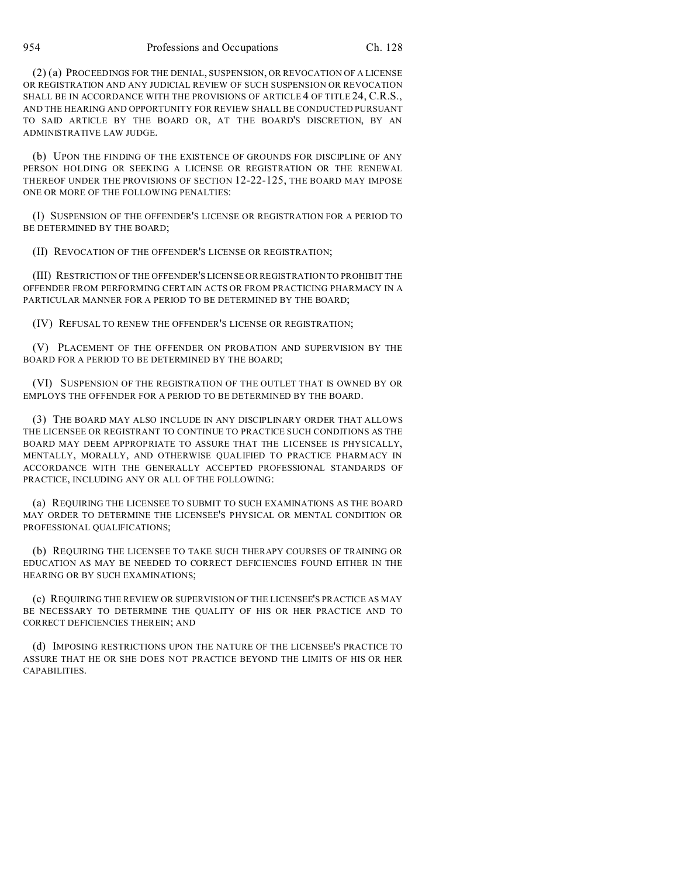(2) (a) PROCEEDINGS FOR THE DENIAL, SUSPENSION, OR REVOCATION OF A LICENSE OR REGISTRATION AND ANY JUDICIAL REVIEW OF SUCH SUSPENSION OR REVOCATION SHALL BE IN ACCORDANCE WITH THE PROVISIONS OF ARTICLE 4 OF TITLE 24, C.R.S., AND THE HEARING AND OPPORTUNITY FOR REVIEW SHALL BE CONDUCTED PURSUANT TO SAID ARTICLE BY THE BOARD OR, AT THE BOARD'S DISCRETION, BY AN ADMINISTRATIVE LAW JUDGE.

(b) UPON THE FINDING OF THE EXISTENCE OF GROUNDS FOR DISCIPLINE OF ANY PERSON HOLDING OR SEEKING A LICENSE OR REGISTRATION OR THE RENEWAL THEREOF UNDER THE PROVISIONS OF SECTION 12-22-125, THE BOARD MAY IMPOSE ONE OR MORE OF THE FOLLOWING PENALTIES:

(I) SUSPENSION OF THE OFFENDER'S LICENSE OR REGISTRATION FOR A PERIOD TO BE DETERMINED BY THE BOARD;

(II) REVOCATION OF THE OFFENDER'S LICENSE OR REGISTRATION;

(III) RESTRICTION OF THE OFFENDER'S LICENSE OR REGISTRATION TO PROHIBIT THE OFFENDER FROM PERFORMING CERTAIN ACTS OR FROM PRACTICING PHARMACY IN A PARTICULAR MANNER FOR A PERIOD TO BE DETERMINED BY THE BOARD;

(IV) REFUSAL TO RENEW THE OFFENDER'S LICENSE OR REGISTRATION;

(V) PLACEMENT OF THE OFFENDER ON PROBATION AND SUPERVISION BY THE BOARD FOR A PERIOD TO BE DETERMINED BY THE BOARD;

(VI) SUSPENSION OF THE REGISTRATION OF THE OUTLET THAT IS OWNED BY OR EMPLOYS THE OFFENDER FOR A PERIOD TO BE DETERMINED BY THE BOARD.

(3) THE BOARD MAY ALSO INCLUDE IN ANY DISCIPLINARY ORDER THAT ALLOWS THE LICENSEE OR REGISTRANT TO CONTINUE TO PRACTICE SUCH CONDITIONS AS THE BOARD MAY DEEM APPROPRIATE TO ASSURE THAT THE LICENSEE IS PHYSICALLY, MENTALLY, MORALLY, AND OTHERWISE QUALIFIED TO PRACTICE PHARMACY IN ACCORDANCE WITH THE GENERALLY ACCEPTED PROFESSIONAL STANDARDS OF PRACTICE, INCLUDING ANY OR ALL OF THE FOLLOWING:

(a) REQUIRING THE LICENSEE TO SUBMIT TO SUCH EXAMINATIONS AS THE BOARD MAY ORDER TO DETERMINE THE LICENSEE'S PHYSICAL OR MENTAL CONDITION OR PROFESSIONAL QUALIFICATIONS;

(b) REQUIRING THE LICENSEE TO TAKE SUCH THERAPY COURSES OF TRAINING OR EDUCATION AS MAY BE NEEDED TO CORRECT DEFICIENCIES FOUND EITHER IN THE HEARING OR BY SUCH EXAMINATIONS;

(c) REQUIRING THE REVIEW OR SUPERVISION OF THE LICENSEE'S PRACTICE AS MAY BE NECESSARY TO DETERMINE THE QUALITY OF HIS OR HER PRACTICE AND TO CORRECT DEFICIENCIES THEREIN; AND

(d) IMPOSING RESTRICTIONS UPON THE NATURE OF THE LICENSEE'S PRACTICE TO ASSURE THAT HE OR SHE DOES NOT PRACTICE BEYOND THE LIMITS OF HIS OR HER CAPABILITIES.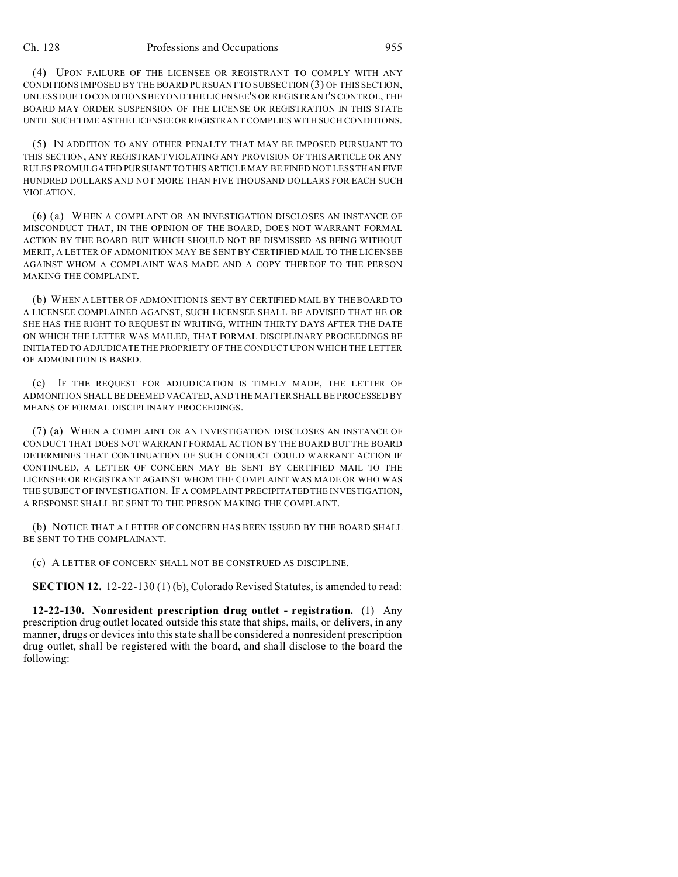(4) UPON FAILURE OF THE LICENSEE OR REGISTRANT TO COMPLY WITH ANY CONDITIONS IMPOSED BY THE BOARD PURSUANT TO SUBSECTION (3) OF THIS SECTION, UNLESS DUE TO CONDITIONS BEYOND THE LICENSEE'S OR REGISTRANT'S CONTROL, THE BOARD MAY ORDER SUSPENSION OF THE LICENSE OR REGISTRATION IN THIS STATE UNTIL SUCH TIME AS THELICENSEEOR REGISTRANT COMPLIES WITH SUCH CONDITIONS.

(5) IN ADDITION TO ANY OTHER PENALTY THAT MAY BE IMPOSED PURSUANT TO THIS SECTION, ANY REGISTRANT VIOLATING ANY PROVISION OF THIS ARTICLE OR ANY RULES PROMULGATED PURSUANT TO THIS ARTICLE MAY BE FINED NOT LESS THAN FIVE HUNDRED DOLLARS AND NOT MORE THAN FIVE THOUSAND DOLLARS FOR EACH SUCH VIOLATION.

(6) (a) WHEN A COMPLAINT OR AN INVESTIGATION DISCLOSES AN INSTANCE OF MISCONDUCT THAT, IN THE OPINION OF THE BOARD, DOES NOT WARRANT FORMAL ACTION BY THE BOARD BUT WHICH SHOULD NOT BE DISMISSED AS BEING WITHOUT MERIT, A LETTER OF ADMONITION MAY BE SENT BY CERTIFIED MAIL TO THE LICENSEE AGAINST WHOM A COMPLAINT WAS MADE AND A COPY THEREOF TO THE PERSON MAKING THE COMPLAINT.

(b) WHEN A LETTER OF ADMONITION IS SENT BY CERTIFIED MAIL BY THE BOARD TO A LICENSEE COMPLAINED AGAINST, SUCH LICENSEE SHALL BE ADVISED THAT HE OR SHE HAS THE RIGHT TO REQUEST IN WRITING, WITHIN THIRTY DAYS AFTER THE DATE ON WHICH THE LETTER WAS MAILED, THAT FORMAL DISCIPLINARY PROCEEDINGS BE INITIATED TO ADJUDICATE THE PROPRIETY OF THE CONDUCT UPON WHICH THE LETTER OF ADMONITION IS BASED.

(c) IF THE REQUEST FOR ADJUDICATION IS TIMELY MADE, THE LETTER OF ADMONITION SHALL BE DEEMED VACATED, AND THE MATTER SHALL BE PROCESSED BY MEANS OF FORMAL DISCIPLINARY PROCEEDINGS.

(7) (a) WHEN A COMPLAINT OR AN INVESTIGATION DISCLOSES AN INSTANCE OF CONDUCT THAT DOES NOT WARRANT FORMAL ACTION BY THE BOARD BUT THE BOARD DETERMINES THAT CONTINUATION OF SUCH CONDUCT COULD WARRANT ACTION IF CONTINUED, A LETTER OF CONCERN MAY BE SENT BY CERTIFIED MAIL TO THE LICENSEE OR REGISTRANT AGAINST WHOM THE COMPLAINT WAS MADE OR WHO WAS THE SUBJECT OF INVESTIGATION. IF A COMPLAINT PRECIPITATED THE INVESTIGATION, A RESPONSE SHALL BE SENT TO THE PERSON MAKING THE COMPLAINT.

(b) NOTICE THAT A LETTER OF CONCERN HAS BEEN ISSUED BY THE BOARD SHALL BE SENT TO THE COMPLAINANT.

(c) A LETTER OF CONCERN SHALL NOT BE CONSTRUED AS DISCIPLINE.

**SECTION 12.** 12-22-130 (1) (b), Colorado Revised Statutes, is amended to read:

**12-22-130. Nonresident prescription drug outlet - registration.** (1) Any prescription drug outlet located outside this state that ships, mails, or delivers, in any manner, drugs or devices into this state shall be considered a nonresident prescription drug outlet, shall be registered with the board, and shall disclose to the board the following: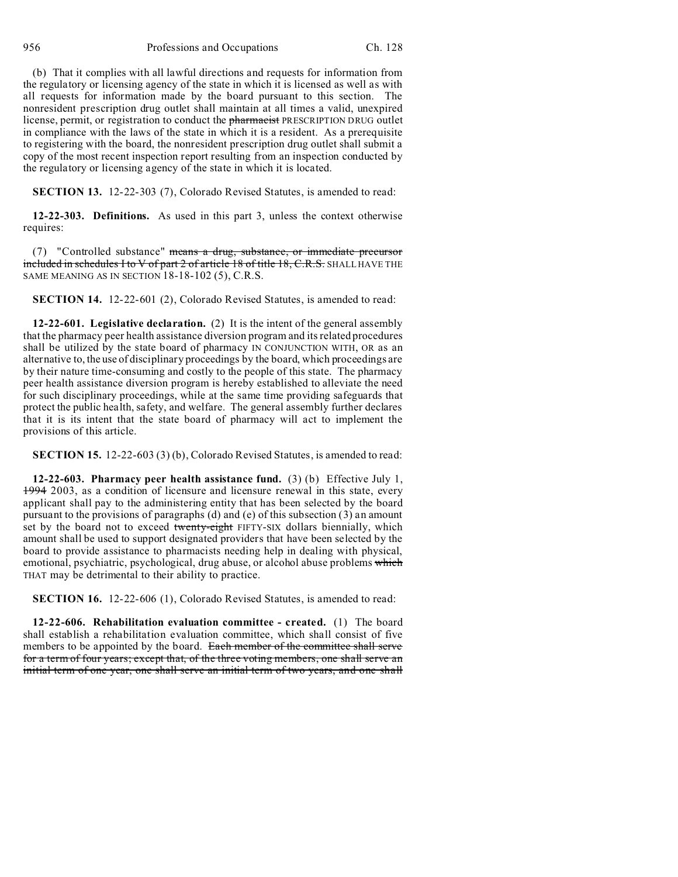(b) That it complies with all lawful directions and requests for information from the regulatory or licensing agency of the state in which it is licensed as well as with all requests for information made by the board pursuant to this section. The nonresident prescription drug outlet shall maintain at all times a valid, unexpired license, permit, or registration to conduct the pharmacist PRESCRIPTION DRUG outlet in compliance with the laws of the state in which it is a resident. As a prerequisite to registering with the board, the nonresident prescription drug outlet shall submit a copy of the most recent inspection report resulting from an inspection conducted by the regulatory or licensing agency of the state in which it is located.

**SECTION 13.** 12-22-303 (7), Colorado Revised Statutes, is amended to read:

**12-22-303. Definitions.** As used in this part 3, unless the context otherwise requires:

(7) "Controlled substance" means a drug, substance, or immediate precursor included in schedules I to V of part 2 of article 18 of title 18, C.R.S. SHALL HAVE THE SAME MEANING AS IN SECTION 18-18-102 (5), C.R.S.

**SECTION 14.** 12-22-601 (2), Colorado Revised Statutes, is amended to read:

**12-22-601. Legislative declaration.** (2) It is the intent of the general assembly that the pharmacy peer health assistance diversion program and its related procedures shall be utilized by the state board of pharmacy IN CONJUNCTION WITH, OR as an alternative to, the use of disciplinary proceedings by the board, which proceedings are by their nature time-consuming and costly to the people of this state. The pharmacy peer health assistance diversion program is hereby established to alleviate the need for such disciplinary proceedings, while at the same time providing safeguards that protect the public health, safety, and welfare. The general assembly further declares that it is its intent that the state board of pharmacy will act to implement the provisions of this article.

**SECTION 15.** 12-22-603 (3) (b), Colorado Revised Statutes, is amended to read:

**12-22-603. Pharmacy peer health assistance fund.** (3) (b) Effective July 1, 1994 2003, as a condition of licensure and licensure renewal in this state, every applicant shall pay to the administering entity that has been selected by the board pursuant to the provisions of paragraphs (d) and (e) of this subsection (3) an amount set by the board not to exceed twenty-eight FIFTY-SIX dollars biennially, which amount shall be used to support designated providers that have been selected by the board to provide assistance to pharmacists needing help in dealing with physical, emotional, psychiatric, psychological, drug abuse, or alcohol abuse problems which THAT may be detrimental to their ability to practice.

**SECTION 16.** 12-22-606 (1), Colorado Revised Statutes, is amended to read:

**12-22-606. Rehabilitation evaluation committee - created.** (1) The board shall establish a rehabilitation evaluation committee, which shall consist of five members to be appointed by the board. Each member of the committee shall serve for a term of four years; except that, of the three voting members, one shall serve an initial term of one year, one shall serve an initial term of two years, and one shall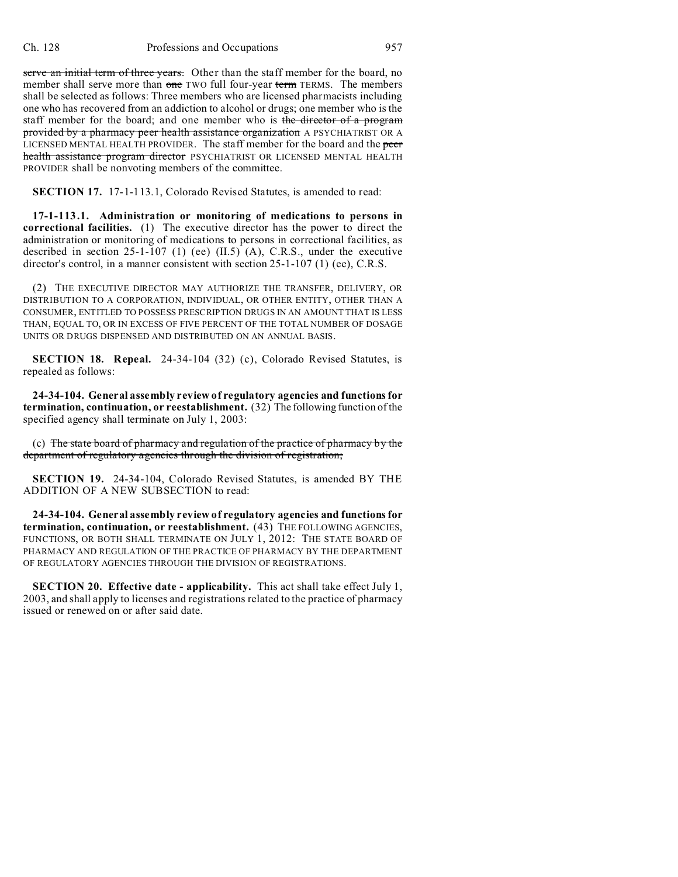serve an initial term of three years. Other than the staff member for the board, no member shall serve more than one TWO full four-year term TERMS. The members shall be selected as follows: Three members who are licensed pharmacists including one who has recovered from an addiction to alcohol or drugs; one member who is the staff member for the board; and one member who is the director of a program provided by a pharmacy peer health assistance organization A PSYCHIATRIST OR A LICENSED MENTAL HEALTH PROVIDER. The staff member for the board and the peer health assistance program director PSYCHIATRIST OR LICENSED MENTAL HEALTH PROVIDER shall be nonvoting members of the committee.

**SECTION 17.** 17-1-113.1, Colorado Revised Statutes, is amended to read:

**17-1-113.1. Administration or monitoring of medications to persons in correctional facilities.** (1) The executive director has the power to direct the administration or monitoring of medications to persons in correctional facilities, as described in section 25-1-107 (1) (ee) (II.5) (A), C.R.S., under the executive director's control, in a manner consistent with section 25-1-107 (1) (ee), C.R.S.

(2) THE EXECUTIVE DIRECTOR MAY AUTHORIZE THE TRANSFER, DELIVERY, OR DISTRIBUTION TO A CORPORATION, INDIVIDUAL, OR OTHER ENTITY, OTHER THAN A CONSUMER, ENTITLED TO POSSESS PRESCRIPTION DRUGS IN AN AMOUNT THAT IS LESS THAN, EQUAL TO, OR IN EXCESS OF FIVE PERCENT OF THE TOTAL NUMBER OF DOSAGE UNITS OR DRUGS DISPENSED AND DISTRIBUTED ON AN ANNUAL BASIS.

**SECTION 18. Repeal.** 24-34-104 (32) (c), Colorado Revised Statutes, is repealed as follows:

**24-34-104. General assembly review of regulatory agencies and functions for termination, continuation, or reestablishment.** (32) The following function of the specified agency shall terminate on July 1, 2003:

(c) The state board of pharmacy and regulation of the practice of pharmacy by the department of regulatory agencies through the division of registration;

**SECTION 19.** 24-34-104, Colorado Revised Statutes, is amended BY THE ADDITION OF A NEW SUBSECTION to read:

**24-34-104. General assembly review of regulatory agencies and functions for termination, continuation, or reestablishment.** (43) THE FOLLOWING AGENCIES, FUNCTIONS, OR BOTH SHALL TERMINATE ON JULY 1, 2012: THE STATE BOARD OF PHARMACY AND REGULATION OF THE PRACTICE OF PHARMACY BY THE DEPARTMENT OF REGULATORY AGENCIES THROUGH THE DIVISION OF REGISTRATIONS.

**SECTION 20. Effective date - applicability.** This act shall take effect July 1, 2003, and shall apply to licenses and registrations related to the practice of pharmacy issued or renewed on or after said date.